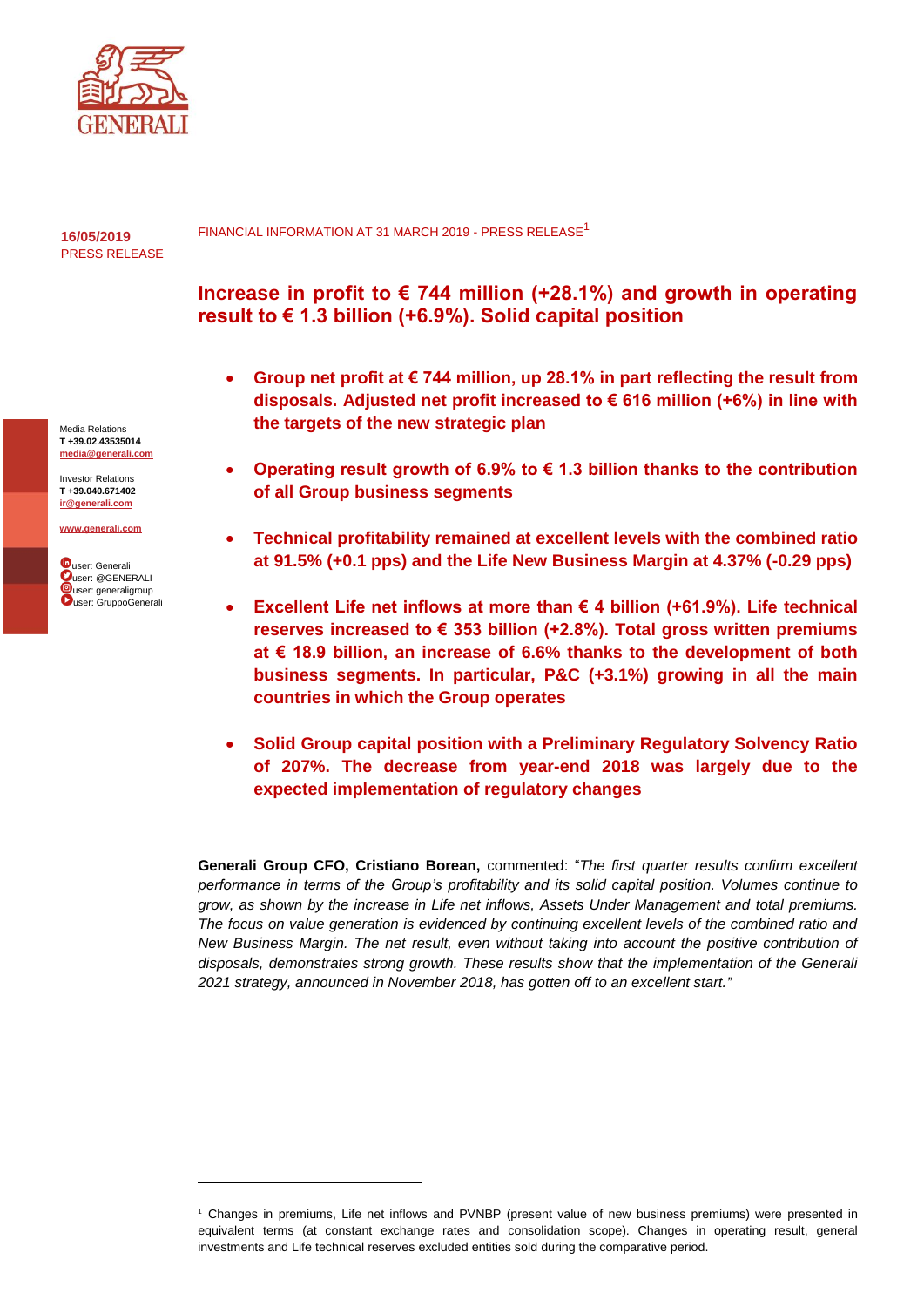

**16/05/2019** PRESS RELEASE FINANCIAL INFORMATION AT 31 MARCH 2019 - PRESS RELEASE<sup>1</sup>

# **Increase in profit to € 744 million (+28.1%) and growth in operating result to € 1.3 billion (+6.9%). Solid capital position**

- **Group net profit at € 744 million, up 28.1% in part reflecting the result from disposals. Adjusted net profit increased to € 616 million (+6%) in line with the targets of the new strategic plan**
- **Operating result growth of 6.9% to € 1.3 billion thanks to the contribution of all Group business segments**
- **Technical profitability remained at excellent levels with the combined ratio at 91.5% (+0.1 pps) and the Life New Business Margin at 4.37% (-0.29 pps)**
- **Excellent Life net inflows at more than € 4 billion (+61.9%). Life technical reserves increased to € 353 billion (+2.8%). Total gross written premiums at € 18.9 billion, an increase of 6.6% thanks to the development of both business segments. In particular, P&C (+3.1%) growing in all the main countries in which the Group operates**
- **Solid Group capital position with a Preliminary Regulatory Solvency Ratio of 207%. The decrease from year-end 2018 was largely due to the expected implementation of regulatory changes**

**Generali Group CFO, Cristiano Borean,** commented: "*The first quarter results confirm excellent performance in terms of the Group's profitability and its solid capital position. Volumes continue to grow, as shown by the increase in Life net inflows, Assets Under Management and total premiums. The focus on value generation is evidenced by continuing excellent levels of the combined ratio and New Business Margin. The net result, even without taking into account the positive contribution of disposals, demonstrates strong growth. These results show that the implementation of the Generali 2021 strategy, announced in November 2018, has gotten off to an excellent start."* 

Media Relations **T +39.02.43535014 [media@generali.com](mailto:media@generali.com)**

Investor Relations **T +39.040.671402 [ir@generali.com](mailto:ir@generali.com)**

**[www.generali.com](http://www.generali.com/)**

**W**user: Generali User: @GENERALI **Juser: generaligroup** Uuser: GruppoGenerali

 $\overline{a}$ 

<sup>1</sup> Changes in premiums, Life net inflows and PVNBP (present value of new business premiums) were presented in equivalent terms (at constant exchange rates and consolidation scope). Changes in operating result, general investments and Life technical reserves excluded entities sold during the comparative period.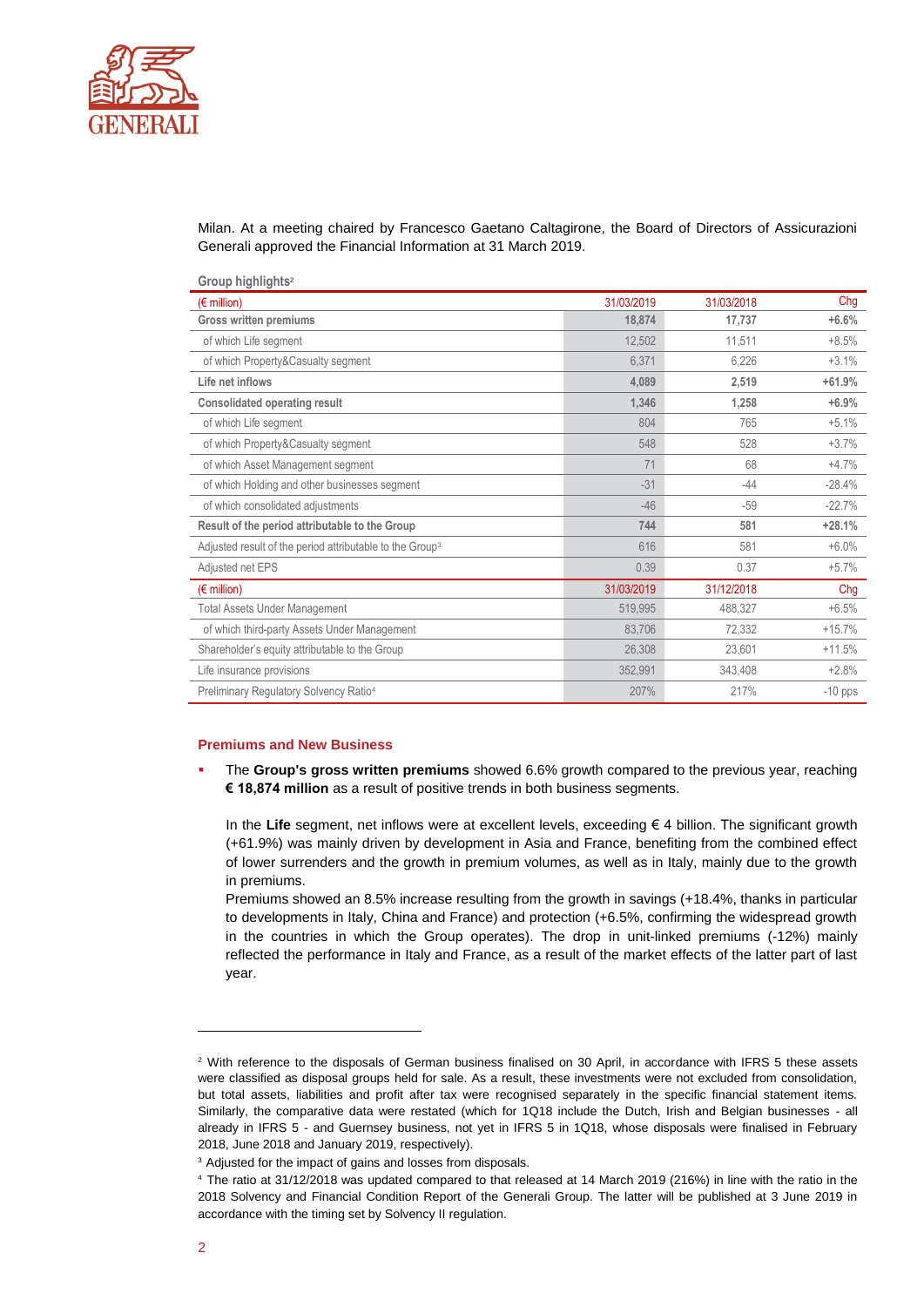

Milan. At a meeting chaired by Francesco Gaetano Caltagirone, the Board of Directors of Assicurazioni Generali approved the Financial Information at 31 March 2019.

| Group highlights <sup>2</sup>                                        |            |            |           |
|----------------------------------------------------------------------|------------|------------|-----------|
| $(\epsilon$ million)                                                 | 31/03/2019 | 31/03/2018 | Chg       |
| <b>Gross written premiums</b>                                        | 18.874     | 17,737     | $+6.6%$   |
| of which Life segment                                                | 12.502     | 11.511     | $+8.5%$   |
| of which Property&Casualty segment                                   | 6,371      | 6.226      | $+3.1%$   |
| Life net inflows                                                     | 4.089      | 2,519      | $+61.9%$  |
| <b>Consolidated operating result</b>                                 | 1,346      | 1,258      | $+6.9%$   |
| of which Life segment                                                | 804        | 765        | $+5.1%$   |
| of which Property&Casualty segment                                   | 548        | 528        | $+3.7%$   |
| of which Asset Management segment                                    | 71         | 68         | $+4.7%$   |
| of which Holding and other businesses segment                        | $-31$      | $-44$      | $-28.4%$  |
| of which consolidated adjustments                                    | $-46$      | $-59$      | $-22.7%$  |
| Result of the period attributable to the Group                       | 744        | 581        | $+28.1%$  |
| Adjusted result of the period attributable to the Group <sup>3</sup> | 616        | 581        | $+6.0%$   |
| Adjusted net EPS                                                     | 0.39       | 0.37       | $+5.7%$   |
| $(\epsilon$ million)                                                 | 31/03/2019 | 31/12/2018 | Chg       |
| <b>Total Assets Under Management</b>                                 | 519,995    | 488,327    | $+6.5%$   |
| of which third-party Assets Under Management                         | 83,706     | 72,332     | $+15.7%$  |
| Shareholder's equity attributable to the Group                       | 26,308     | 23,601     | $+11.5%$  |
| Life insurance provisions                                            | 352,991    | 343,408    | $+2.8%$   |
| Preliminary Regulatory Solvency Ratio <sup>4</sup>                   | 207%       | 217%       | $-10$ pps |

### **Premiums and New Business**

The Group's gross written premiums showed 6.6% growth compared to the previous year, reaching **€ 18,874 million** as a result of positive trends in both business segments.

In the **Life** segment, net inflows were at excellent levels, exceeding € 4 billion. The significant growth (+61.9%) was mainly driven by development in Asia and France, benefiting from the combined effect of lower surrenders and the growth in premium volumes, as well as in Italy, mainly due to the growth in premiums.

Premiums showed an 8.5% increase resulting from the growth in savings (+18.4%, thanks in particular to developments in Italy, China and France) and protection (+6.5%, confirming the widespread growth in the countries in which the Group operates). The drop in unit-linked premiums (-12%) mainly reflected the performance in Italy and France, as a result of the market effects of the latter part of last year.

-

<sup>&</sup>lt;sup>2</sup> With reference to the disposals of German business finalised on 30 April, in accordance with IFRS 5 these assets were classified as disposal groups held for sale. As a result, these investments were not excluded from consolidation, but total assets, liabilities and profit after tax were recognised separately in the specific financial statement items. Similarly, the comparative data were restated (which for 1Q18 include the Dutch, Irish and Belgian businesses - all already in IFRS 5 - and Guernsey business, not yet in IFRS 5 in 1Q18, whose disposals were finalised in February 2018, June 2018 and January 2019, respectively).

<sup>&</sup>lt;sup>3</sup> Adjusted for the impact of gains and losses from disposals.

<sup>4</sup> The ratio at 31/12/2018 was updated compared to that released at 14 March 2019 (216%) in line with the ratio in the 2018 Solvency and Financial Condition Report of the Generali Group. The latter will be published at 3 June 2019 in accordance with the timing set by Solvency II regulation.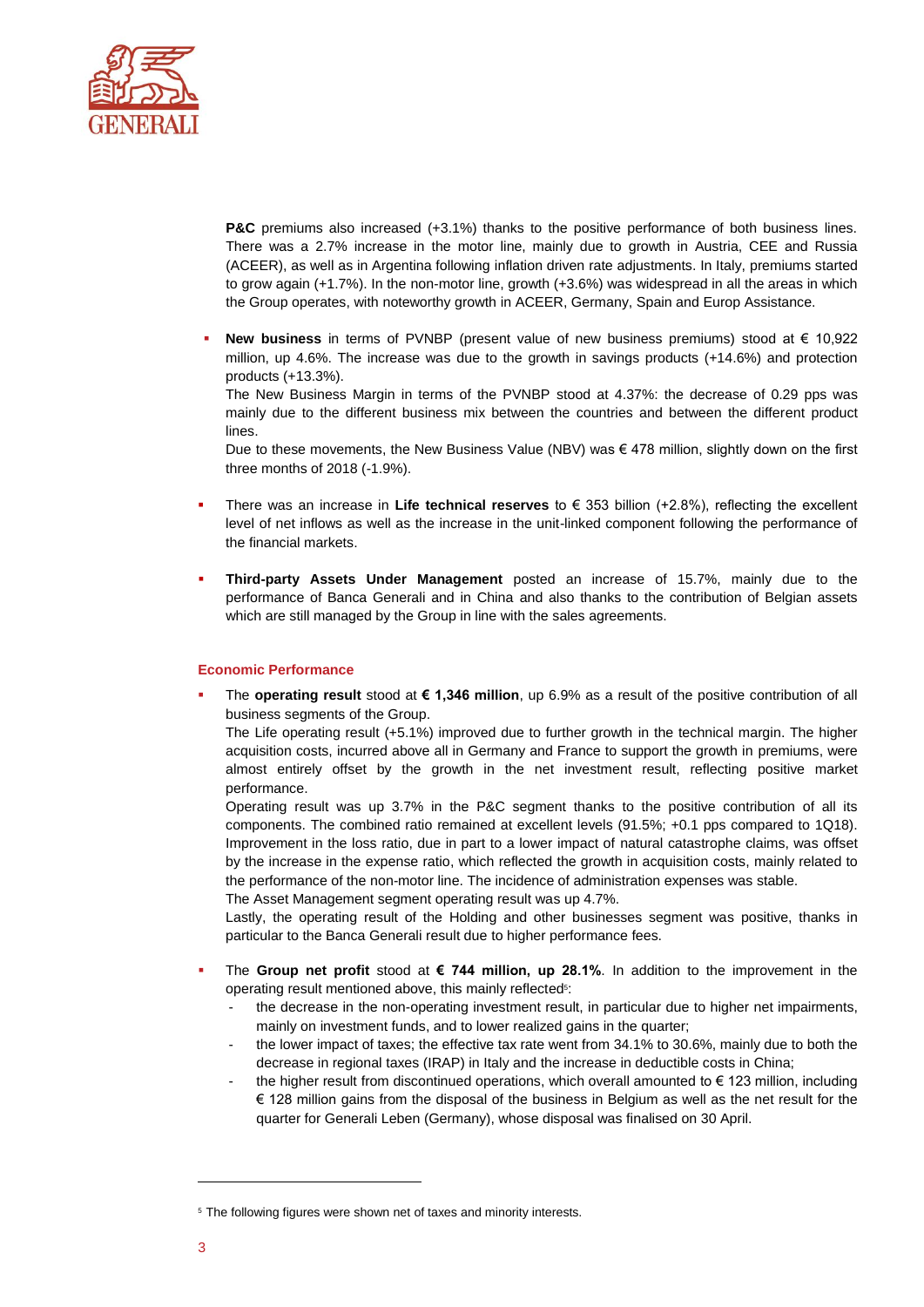

**P&C** premiums also increased (+3.1%) thanks to the positive performance of both business lines. There was a 2.7% increase in the motor line, mainly due to growth in Austria, CEE and Russia (ACEER), as well as in Argentina following inflation driven rate adjustments. In Italy, premiums started to grow again (+1.7%). In the non-motor line, growth (+3.6%) was widespread in all the areas in which the Group operates, with noteworthy growth in ACEER, Germany, Spain and Europ Assistance.

**New business** in terms of PVNBP (present value of new business premiums) stood at € 10,922 million, up 4.6%. The increase was due to the growth in savings products (+14.6%) and protection products (+13.3%).

The New Business Margin in terms of the PVNBP stood at 4.37%: the decrease of 0.29 pps was mainly due to the different business mix between the countries and between the different product lines.

Due to these movements, the New Business Value (NBV) was € 478 million, slightly down on the first three months of 2018 (-1.9%).

- There was an increase in Life technical reserves to  $\epsilon$  353 billion (+2.8%), reflecting the excellent level of net inflows as well as the increase in the unit-linked component following the performance of the financial markets.
- **Third-party Assets Under Management** posted an increase of 15.7%, mainly due to the performance of Banca Generali and in China and also thanks to the contribution of Belgian assets which are still managed by the Group in line with the sales agreements.

## **Economic Performance**

The **operating result** stood at € 1,346 million, up 6.9% as a result of the positive contribution of all business segments of the Group.

The Life operating result (+5.1%) improved due to further growth in the technical margin. The higher acquisition costs, incurred above all in Germany and France to support the growth in premiums, were almost entirely offset by the growth in the net investment result, reflecting positive market performance.

Operating result was up 3.7% in the P&C segment thanks to the positive contribution of all its components. The combined ratio remained at excellent levels (91.5%; +0.1 pps compared to 1Q18). Improvement in the loss ratio, due in part to a lower impact of natural catastrophe claims, was offset by the increase in the expense ratio, which reflected the growth in acquisition costs, mainly related to the performance of the non-motor line. The incidence of administration expenses was stable.

The Asset Management segment operating result was up 4.7%.

Lastly, the operating result of the Holding and other businesses segment was positive, thanks in particular to the Banca Generali result due to higher performance fees.

- The **Group net profit** stood at  $\epsilon$  744 million, up 28.1%. In addition to the improvement in the operating result mentioned above, this mainly reflected<sup>5</sup>:
	- the decrease in the non-operating investment result, in particular due to higher net impairments, mainly on investment funds, and to lower realized gains in the quarter;
	- the lower impact of taxes; the effective tax rate went from 34.1% to 30.6%, mainly due to both the decrease in regional taxes (IRAP) in Italy and the increase in deductible costs in China;
	- the higher result from discontinued operations, which overall amounted to €123 million, including € 128 million gains from the disposal of the business in Belgium as well as the net result for the quarter for Generali Leben (Germany), whose disposal was finalised on 30 April.

-

<sup>5</sup> The following figures were shown net of taxes and minority interests.